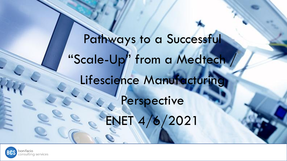Pathways to a Successful "Scale-Up" from a Medtech / Lifescience Manufacturing Perspective ENET 4/6/2021

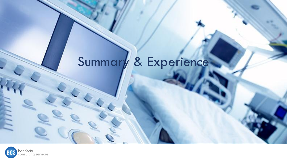# Summary & Experience

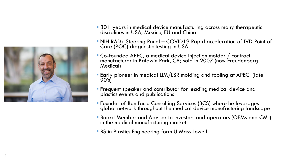

- 30+ years in medical device manufacturing across many therapeutic disciplines in USA, Mexico, EU and China
- **. NIH RADx Steering Panel COVID19 Rapid acceleration of IVD Point of** Care (POC) diagnostic testing in USA
- Co-founded APEC, a medical device injection molder / contract manufacturer in Baldwin Park, CA; sold in 2007 (now Freudenberg Medical)
- **Early pioneer in medical LIM/LSR molding and tooling at APEC (late** 90's)
- **Example 1** Frequent speaker and contributor for leading medical device and plastics events and publications
- **EX Founder of Bonifacio Consulting Services (BCS) where he leverages** global network throughout the medical device manufacturing landscape
- Board Member and Advisor to investors and operators (OEMs and CMs) in the medical manufacturing markets
- **BS in Plastics Engineering form U Mass Lowell**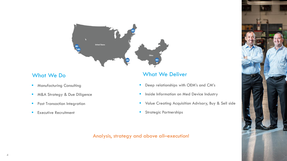

- **■** Manufacturing Consulting
- M&A Strategy & Due Diligence
- **•** Post Transaction Integration
- **Executive Recruitment**

#### What We Do What We Deliver

- Deep relationships with OEM's and CM's
- **·** Inside Information on Med Device Industry
- **E** Value Creating Acquisition Advisory, Buy & Sell side
- **·** Strategic Partnerships

#### Analysis, strategy and above all–execution!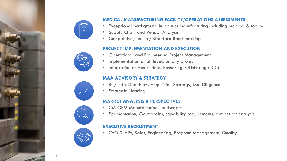



#### **MEDICAL MANUFACTURING FACILITY/OPERATIONS ASSESSMENTS**

- Exceptional background in plastics manufacturing including molding & tooling
- Supply Chain and Vendor Analysis
- Competitive/Industry Standard Benchmarking

#### **PROJECT IMPLEMENTATION AND EXECUTION**

- Operational and Engineering Project Management
- Implementation at all levels on any project
- Integration of Acquisitions, Reshoring, Offshoring (LCC)

#### **M&A ADVISORY & STRATEGY**

- Buy-side, Deal Flow, Acquisition Strategy, Due Diligence
- **Strategic Planning**

#### **MARKET ANALYSIS & PERSPECTIVES**

- CM-OEM Manufacturing Landscape
- Segmentation, CM margins, capability requirements, competitor analysis

#### **EXECUTIVE RECRUITMENT**

• CxO & VPs; Sales, Engineering, Program Management, Quality

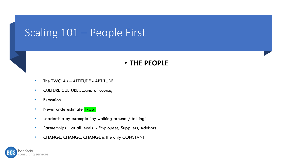### Scaling 101 – People First

#### • **THE PEOPLE**

- The TWO A's ATTITUDE APTITUDE
- CULTURE CULTURE…..and of course,
- Execution
- Never underestimate **TRUST**
- Leadership by example "by walking around / talking"
- Partnerships at all levels Employees, Suppliers, Advisors
- CHANGE, CHANGE, CHANGE is the only CONSTANT

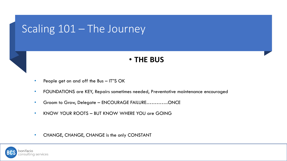### Scaling 101 – The Journey

### • **THE BUS**

- People get on and off the Bus IT"S OK
- FOUNDATIONS are KEY, Repairs sometimes needed, Preventative maintenance encouraged
- Groom to Grow, Delegate ENCOURAGE FAILURE.............ONCE
- KNOW YOUR ROOTS BUT KNOW WHERE YOU are GOING

• CHANGE, CHANGE, CHANGE is the only CONSTANT

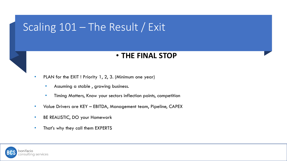## Scaling 101 – The Result / Exit

#### • **THE FINAL STOP**

PLAN for the EXIT ! Priority 1, 2, 3. (Minimum one year)

- Assuming a stable , growing business.
- Timing Matters, Know your sectors inflection points, competition
- Value Drivers are KEY EBITDA, Management team, Pipeline, CAPEX
- BE REALISTIC, DO your Homework
- That's why they call them EXPERTS